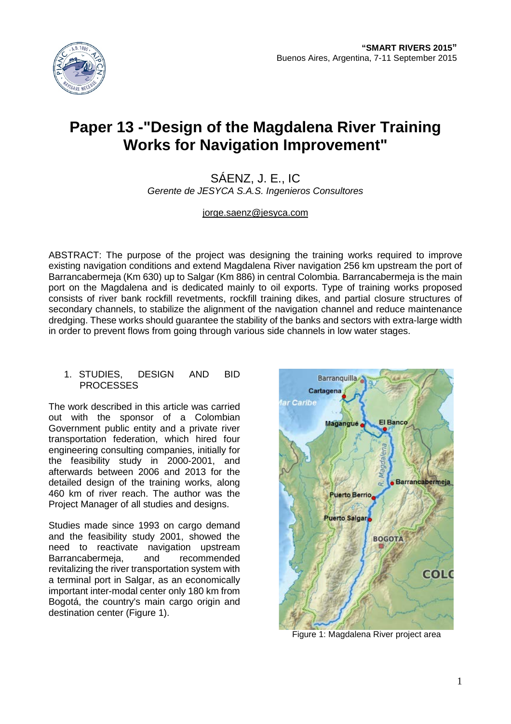

# **Paper 13 -"Design of the Magdalena River Training Works for Navigation Improvement"**

# SÁENZ, J. E., IC *Gerente de JESYCA S.A.S. Ingenieros Consultores*

[jorge.saenz@jesyca.com](mailto:jorge.saenz@jesyca.com)

ABSTRACT: The purpose of the project was designing the training works required to improve existing navigation conditions and extend Magdalena River navigation 256 km upstream the port of Barrancabermeja (Km 630) up to Salgar (Km 886) in central Colombia. Barrancabermeja is the main port on the Magdalena and is dedicated mainly to oil exports. Type of training works proposed consists of river bank rockfill revetments, rockfill training dikes, and partial closure structures of secondary channels, to stabilize the alignment of the navigation channel and reduce maintenance dredging. These works should guarantee the stability of the banks and sectors with extra-large width in order to prevent flows from going through various side channels in low water stages.

## 1. STUDIES, DESIGN AND BID **PROCESSES**

The work described in this article was carried out with the sponsor of a Colombian Government public entity and a private river transportation federation, which hired four engineering consulting companies, initially for the feasibility study in 2000-2001, and afterwards between 2006 and 2013 for the detailed design of the training works, along 460 km of river reach. The author was the Project Manager of all studies and designs.

Studies made since 1993 on cargo demand and the feasibility study 2001, showed the need to reactivate navigation upstream Barrancabermeja, and recommended revitalizing the river transportation system with a terminal port in Salgar, as an economically important inter-modal center only 180 km from Bogotá, the country's main cargo origin and destination center (Figure 1).



Figure 1: Magdalena River project area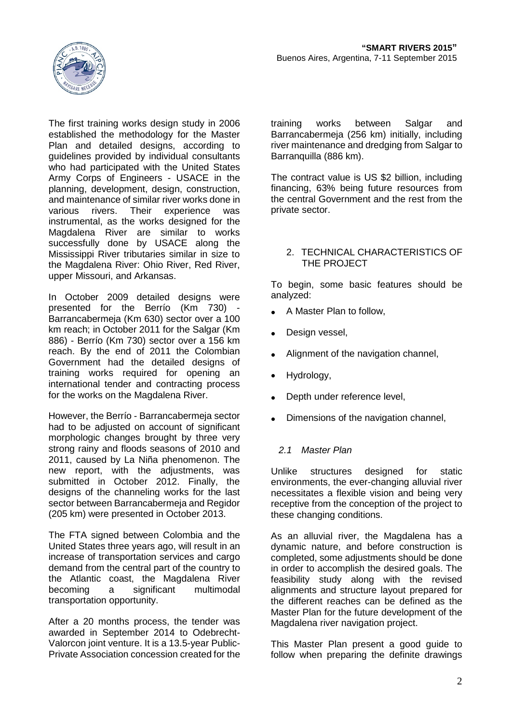

The first training works design study in 2006 established the methodology for the Master Plan and detailed designs, according to guidelines provided by individual consultants who had participated with the United States Army Corps of Engineers - USACE in the planning, development, design, construction, and maintenance of similar river works done in<br>various rivers. Their experience was experience was instrumental, as the works designed for the Magdalena River are similar to works successfully done by USACE along the Mississippi River tributaries similar in size to the Magdalena River: Ohio River, Red River, upper Missouri, and Arkansas.

In October 2009 detailed designs were presented for the Berrío (Km 730) - Barrancabermeja (Km 630) sector over a 100 km reach; in October 2011 for the Salgar (Km 886) - Berrío (Km 730) sector over a 156 km reach. By the end of 2011 the Colombian Government had the detailed designs of training works required for opening an international tender and contracting process for the works on the Magdalena River.

However, the Berrío - Barrancabermeja sector had to be adjusted on account of significant morphologic changes brought by three very strong rainy and floods seasons of 2010 and 2011, caused by La Niña phenomenon. The new report, with the adjustments, was submitted in October 2012. Finally, the designs of the channeling works for the last sector between Barrancabermeja and Regidor (205 km) were presented in October 2013.

The FTA signed between Colombia and the United States three years ago, will result in an increase of transportation services and cargo demand from the central part of the country to the Atlantic coast, the Magdalena River becoming a significant multimodal transportation opportunity.

After a 20 months process, the tender was awarded in September 2014 to Odebrecht-Valorcon joint venture. It is a 13.5-year Public-Private Association concession created for the training works between Salgar and Barrancabermeja (256 km) initially, including river maintenance and dredging from Salgar to Barranquilla (886 km).

The contract value is US \$2 billion, including financing, 63% being future resources from the central Government and the rest from the private sector.

## 2. TECHNICAL CHARACTERISTICS OF THE PROJECT

To begin, some basic features should be analyzed:

- A Master Plan to follow,
- Design vessel,
- Alignment of the navigation channel,
- Hydrology,
- Depth under reference level,
- Dimensions of the navigation channel,

## *2.1 Master Plan*

Unlike structures designed for static environments, the ever-changing alluvial river necessitates a flexible vision and being very receptive from the conception of the project to these changing conditions.

As an alluvial river, the Magdalena has a dynamic nature, and before construction is completed, some adjustments should be done in order to accomplish the desired goals. The feasibility study along with the revised alignments and structure layout prepared for the different reaches can be defined as the Master Plan for the future development of the Magdalena river navigation project.

This Master Plan present a good guide to follow when preparing the definite drawings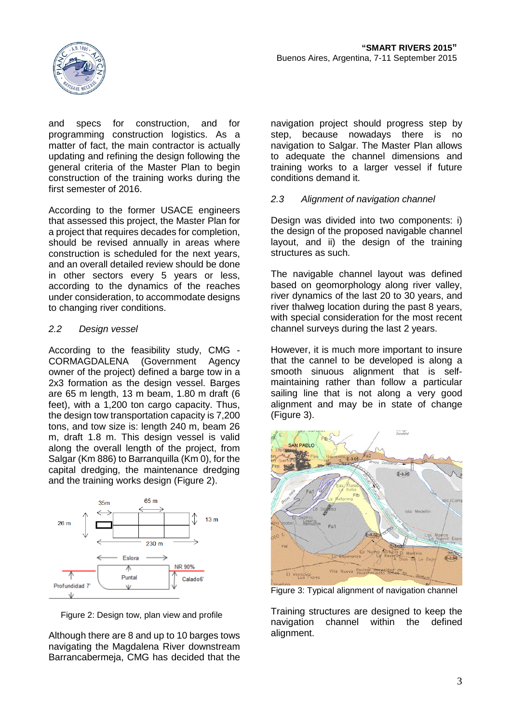

and specs for construction, and for programming construction logistics. As a matter of fact, the main contractor is actually updating and refining the design following the general criteria of the Master Plan to begin construction of the training works during the first semester of 2016.

According to the former USACE engineers that assessed this project, the Master Plan for a project that requires decades for completion, should be revised annually in areas where construction is scheduled for the next years, and an overall detailed review should be done in other sectors every 5 years or less, according to the dynamics of the reaches under consideration, to accommodate designs to changing river conditions.

## *2.2 Design vessel*

According to the feasibility study, CMG - CORMAGDALENA (Government Agency owner of the project) defined a barge tow in a 2x3 formation as the design vessel. Barges are 65 m length, 13 m beam, 1.80 m draft (6 feet), with a 1,200 ton cargo capacity. Thus, the design tow transportation capacity is 7,200 tons, and tow size is: length 240 m, beam 26 m, draft 1.8 m. This design vessel is valid along the overall length of the project, from Salgar (Km 886) to Barranquilla (Km 0), for the capital dredging, the maintenance dredging and the training works design (Figure 2).



Figure 2: Design tow, plan view and profile

Although there are 8 and up to 10 barges tows navigating the Magdalena River downstream Barrancabermeja, CMG has decided that the navigation project should progress step by step, because nowadays there is no navigation to Salgar. The Master Plan allows to adequate the channel dimensions and training works to a larger vessel if future conditions demand it.

## *2.3 Alignment of navigation channel*

Design was divided into two components: i) the design of the proposed navigable channel layout, and ii) the design of the training structures as such.

The navigable channel layout was defined based on geomorphology along river valley, river dynamics of the last 20 to 30 years, and river thalweg location during the past 8 years, with special consideration for the most recent channel surveys during the last 2 years.

However, it is much more important to insure that the cannel to be developed is along a smooth sinuous alignment that is selfmaintaining rather than follow a particular sailing line that is not along a very good alignment and may be in state of change (Figure 3).



Figure 3: Typical alignment of navigation channel

Training structures are designed to keep the navigation channel within the defined alignment.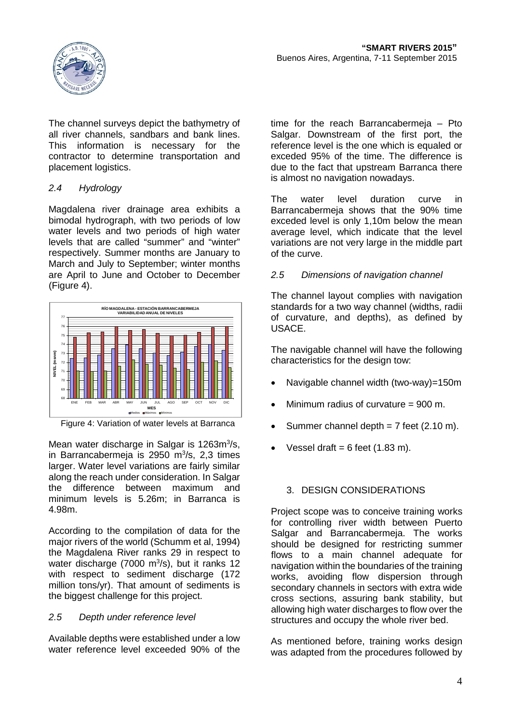

The channel surveys depict the bathymetry of all river channels, sandbars and bank lines. This information is necessary for the contractor to determine transportation and placement logistics.

# *2.4 Hydrology*

Magdalena river drainage area exhibits a bimodal hydrograph, with two periods of low water levels and two periods of high water levels that are called "summer" and "winter" respectively. Summer months are January to March and July to September; winter months are April to June and October to December (Figure 4).



Figure 4: Variation of water levels at Barranca

Mean water discharge in Salgar is 1263m<sup>3</sup>/s, in Barrancabermeja is 2950 m<sup>3</sup>/s, 2,3 times larger. Water level variations are fairly similar along the reach under consideration. In Salgar the difference between maximum and minimum levels is 5.26m; in Barranca is 4.98m.

According to the compilation of data for the major rivers of the world (Schumm et al, 1994) the Magdalena River ranks 29 in respect to water discharge (7000 m<sup>3</sup>/s), but it ranks 12 with respect to sediment discharge (172 million tons/yr). That amount of sediments is the biggest challenge for this project.

# *2.5 Depth under reference level*

Available depths were established under a low water reference level exceeded 90% of the time for the reach Barrancabermeja – Pto Salgar. Downstream of the first port, the reference level is the one which is equaled or exceded 95% of the time. The difference is due to the fact that upstream Barranca there is almost no navigation nowadays.

The water level duration curve in Barrancabermeja shows that the 90% time exceded level is only 1,10m below the mean average level, which indicate that the level variations are not very large in the middle part of the curve.

# *2.5 Dimensions of navigation channel*

The channel layout complies with navigation standards for a two way channel (widths, radii of curvature, and depths), as defined by USACE.

The navigable channel will have the following characteristics for the design tow:

- Navigable channel width (two-way)=150m
- Minimum radius of curvature = 900 m.
- Summer channel depth =  $7$  feet (2.10 m).
- Vessel draft =  $6$  feet (1.83 m).

# 3. DESIGN CONSIDERATIONS

Project scope was to conceive training works for controlling river width between Puerto Salgar and Barrancabermeia. The works should be designed for restricting summer flows to a main channel adequate for navigation within the boundaries of the training works, avoiding flow dispersion through secondary channels in sectors with extra wide cross sections, assuring bank stability, but allowing high water discharges to flow over the structures and occupy the whole river bed.

As mentioned before, training works design was adapted from the procedures followed by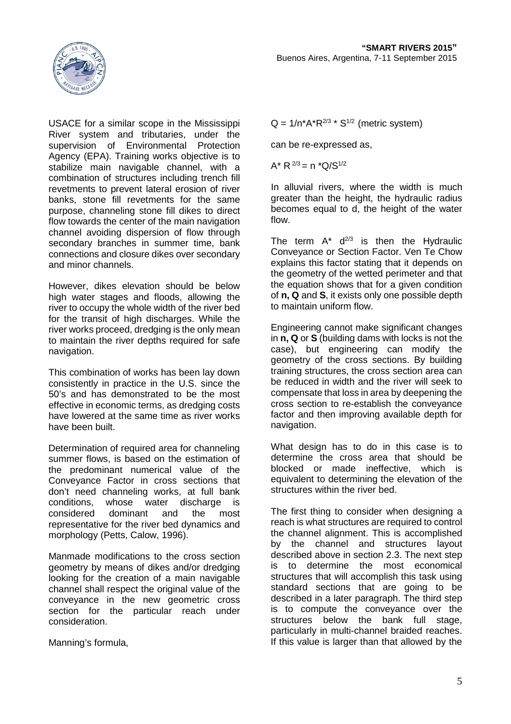

USACE for a similar scope in the Mississippi River system and tributaries, under the<br>supervision of Environmental Protection supervision of Environmental Agency (EPA). Training works objective is to stabilize main navigable channel, with a combination of structures including trench fill revetments to prevent lateral erosion of river banks, stone fill revetments for the same purpose, channeling stone fill dikes to direct flow towards the center of the main navigation channel avoiding dispersion of flow through secondary branches in summer time, bank connections and closure dikes over secondary and minor channels.

However, dikes elevation should be below high water stages and floods, allowing the river to occupy the whole width of the river bed for the transit of high discharges. While the river works proceed, dredging is the only mean to maintain the river depths required for safe navigation.

This combination of works has been lay down consistently in practice in the U.S. since the 50's and has demonstrated to be the most effective in economic terms, as dredging costs have lowered at the same time as river works have been built.

Determination of required area for channeling summer flows, is based on the estimation of the predominant numerical value of the Conveyance Factor in cross sections that don't need channeling works, at full bank conditions, whose water discharge is<br>considered dominant and the most considered dominant and the most representative for the river bed dynamics and morphology (Petts, Calow, 1996).

Manmade modifications to the cross section geometry by means of dikes and/or dredging looking for the creation of a main navigable channel shall respect the original value of the conveyance in the new geometric cross section for the particular reach under consideration.

Manning's formula,

 $Q = 1/n^*A^*R^{2/3} * S^{1/2}$  (metric system)

can be re-expressed as,

 $A^*$  R  $^{2/3}$  = n  $^*Q/S^{1/2}$ 

In alluvial rivers, where the width is much greater than the height, the hydraulic radius becomes equal to d, the height of the water flow.

The term  $A^*$   $d^{2/3}$  is then the Hydraulic Conveyance or Section Factor. Ven Te Chow explains this factor stating that it depends on the geometry of the wetted perimeter and that the equation shows that for a given condition of **n, Q** and **S**, it exists only one possible depth to maintain uniform flow.

Engineering cannot make significant changes in **n, Q** or **S** (building dams with locks is not the case), but engineering can modify the geometry of the cross sections. By building training structures, the cross section area can be reduced in width and the river will seek to compensate that loss in area by deepening the cross section to re-establish the conveyance factor and then improving available depth for navigation.

What design has to do in this case is to determine the cross area that should be blocked or made ineffective, which is equivalent to determining the elevation of the structures within the river bed.

The first thing to consider when designing a reach is what structures are required to control the channel alignment. This is accomplished by the channel and structures layout described above in section 2.3. The next step is to determine the most economical structures that will accomplish this task using standard sections that are going to be described in a later paragraph. The third step is to compute the conveyance over the structures below the bank full stage, particularly in multi-channel braided reaches. If this value is larger than that allowed by the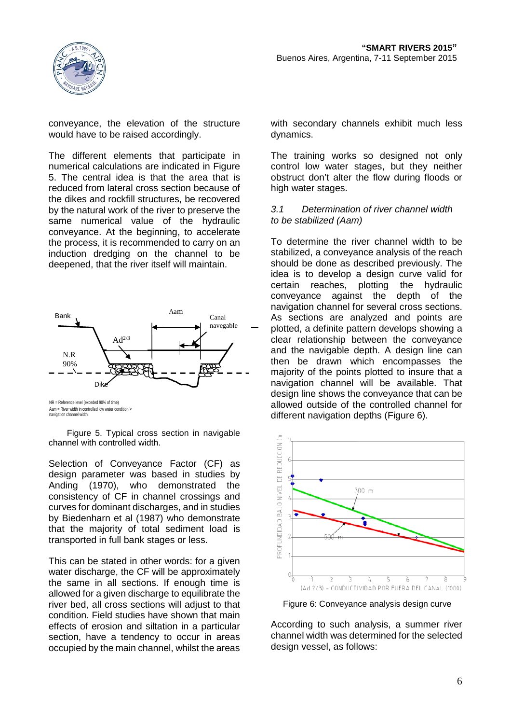

conveyance, the elevation of the structure would have to be raised accordingly.

The different elements that participate in numerical calculations are indicated in Figure 5. The central idea is that the area that is reduced from lateral cross section because of the dikes and rockfill structures, be recovered by the natural work of the river to preserve the same numerical value of the hydraulic conveyance. At the beginning, to accelerate the process, it is recommended to carry on an induction dredging on the channel to be deepened, that the river itself will maintain.



Aam = River width in controlled low water condition > navigation channel width.

Figure 5. Typical cross section in navigable channel with controlled width.

Selection of Conveyance Factor (CF) as design parameter was based in studies by<br>Anding (1970), who demonstrated the demonstrated the consistency of CF in channel crossings and curves for dominant discharges, and in studies by Biedenharn et al (1987) who demonstrate that the majority of total sediment load is transported in full bank stages or less.

This can be stated in other words: for a given water discharge, the CF will be approximately the same in all sections. If enough time is allowed for a given discharge to equilibrate the river bed, all cross sections will adjust to that condition. Field studies have shown that main effects of erosion and siltation in a particular section, have a tendency to occur in areas occupied by the main channel, whilst the areas with secondary channels exhibit much less dynamics.

The training works so designed not only control low water stages, but they neither obstruct don't alter the flow during floods or high water stages.

## *3.1 Determination of river channel width to be stabilized (Aam)*

To determine the river channel width to be stabilized, a conveyance analysis of the reach should be done as described previously. The idea is to develop a design curve valid for certain reaches, plotting the hydraulic<br>conveyance against the depth of the conveyance against the depth of the navigation channel for several cross sections. As sections are analyzed and points are plotted, a definite pattern develops showing a clear relationship between the conveyance and the navigable depth. A design line can then be drawn which encompasses the majority of the points plotted to insure that a navigation channel will be available. That design line shows the conveyance that can be allowed outside of the controlled channel for different navigation depths (Figure 6).



Figure 6: Conveyance analysis design curve

According to such analysis, a summer river channel width was determined for the selected design vessel, as follows: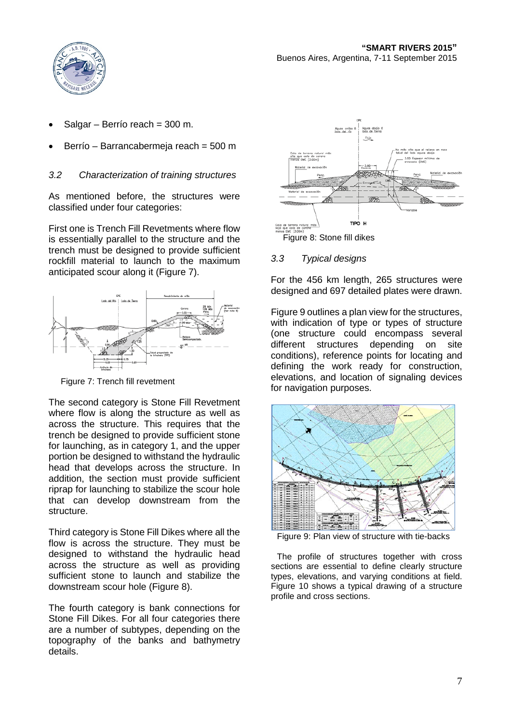

- Salgar Berrío reach = 300 m.
- Berrío Barrancabermeja reach = 500 m

## *3.2 Characterization of training structures*

As mentioned before, the structures were classified under four categories:

First one is Trench Fill Revetments where flow is essentially parallel to the structure and the trench must be designed to provide sufficient rockfill material to launch to the maximum anticipated scour along it (Figure 7).



Figure 7: Trench fill revetment

The second category is Stone Fill Revetment where flow is along the structure as well as across the structure. This requires that the trench be designed to provide sufficient stone for launching, as in category 1, and the upper portion be designed to withstand the hydraulic head that develops across the structure. In addition, the section must provide sufficient riprap for launching to stabilize the scour hole that can develop downstream from the structure.

Third category is Stone Fill Dikes where all the flow is across the structure. They must be designed to withstand the hydraulic head across the structure as well as providing sufficient stone to launch and stabilize the downstream scour hole (Figure 8).

The fourth category is bank connections for Stone Fill Dikes. For all four categories there are a number of subtypes, depending on the topography of the banks and bathymetry details.



## *3.3 Typical designs*

For the 456 km length, 265 structures were designed and 697 detailed plates were drawn.

Figure 9 outlines a plan view for the structures, with indication of type or types of structure (one structure could encompass several different structures depending on site conditions), reference points for locating and defining the work ready for construction, elevations, and location of signaling devices for navigation purposes.



Figure 9: Plan view of structure with tie-backs

The profile of structures together with cross sections are essential to define clearly structure types, elevations, and varying conditions at field. Figure 10 shows a typical drawing of a structure profile and cross sections.